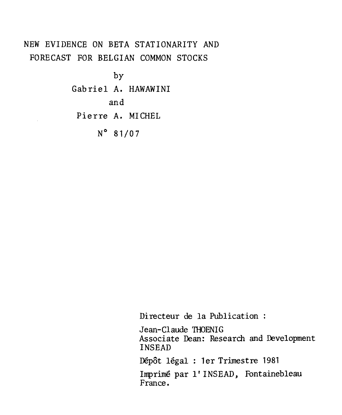# NEW EVIDENCE ON BETA STATIONARITY AND FORECAST FOR BELGIAN COMMON STOCKS

by Gabriel A. HAWAWINI and Pierre A. MICHEL N° 81/07

Directeur de la Publication :

Jean-Claude THOENIG Associate Dean: Research and Development INSEAD Dépôt légal : 1er Trimestre 1981 Imprimé par 1' INSEAD, Fontainebleau

France.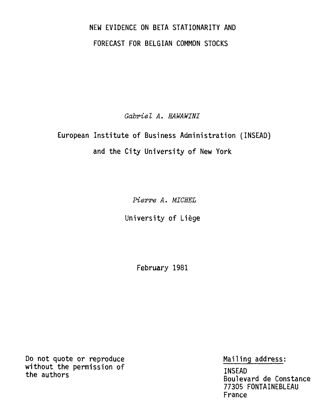# NEW EVIDENCE ON BETA STATIONARITY AND FORECAST FOR BELGIAN COMMON STOCKS

Gabriel A. HAWAWINI

# European Institute of Business Administration (INSEAD) and the City University of New York

Pierre A. MICHEL

University of Liège

February 1981

Do not quote or reproduce without the permission of the authors

Mailing address:

INSEAD Boulevard de Constance 77305 FONTAINEBLEAU France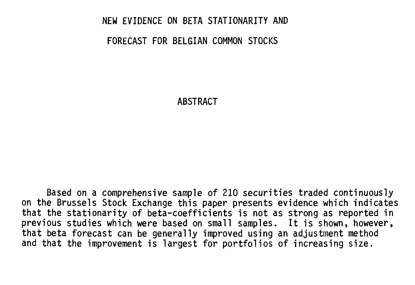#### NEW EVIDENCE ON BETA STATIONARITY AND

#### FORECAST FOR BELGIAN COMMON STOCKS

ABSTRACT

Based on a comprehensive sample of 210 securities traded continuously on the Brussels Stock Exchange this paper presents evidence which indicates that the stationarity of beta-coefficients is not as strong as reported in previous studies which were based on small samples. It is shown, however, that beta forecast can be generally improved using an adjustment method and that the improvement is largest for portfolios of increasing size.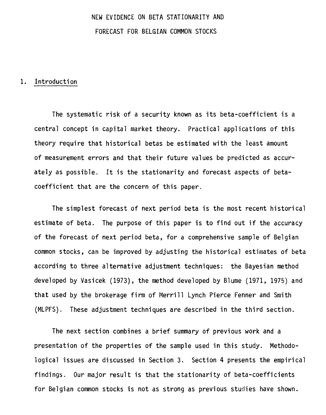# NEW EVIDENCE ON BETA STATIONARITY AND FORECAST FOR BELGIAN COMMON STOCKS

### 1. Introduction

The systematic risk of a security known as its beta-coefficient is a central concept in capital market theory. Practical applications of this theory require that historical betas be estimated with the least amount of measurement errors and that their future values be predicted as accurately as possible. It is the stationarity and forecast aspects of betacoefficient that are the concern of this paper.

The simplest forecast of next period beta is the most recent historical estimate of beta. The purpose of this paper is to find out if the accuracy of the forecast of next period beta, for a comprehensive sample of Belgian common stocks, can be improved by adjusting the historical estimates of beta according to three alternative adjustment techniques: the Bayesian method developed by Vasicek (1973), the method developed by Blume (1971, 1975) and that used by the brokerage firm of Merrill Lynch Pierce Fenner and Smith (MLPFS). These adjustment techniques are described in the third section.

The next section combines a brief summary of previous work and a presentation of the properties of the sample used in this study. Methodological issues are discussed in Section 3. Section 4 presents the empirical findings. Our major result is that the stationarity of beta-coefficients for Belgian common stocks is not as strong as previous studies have shown.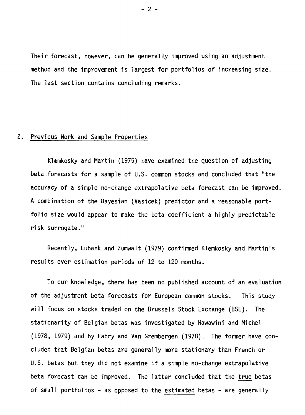Their forecast, however, can be generally improved using an adjustment method and the improvement is largest for portfolios of increasing size. The last section contains concluding remarks.

## 2. Previous Work and Sample Properties

Klemkosky and Martin (1975) have examined the question of adjusting beta forecasts for a sample of U.S. common stocks and concluded that "the accuracy of a simple no-change extrapolative beta forecast can be improved. A combination of the Bayesian (Vasicek) predictor and a reasonable portfolio size would appear to make the beta coefficient a highly predictable risk surrogate."

Recently, Eubank and Zumwalt (1979) confirmed Klemkosky and Martin's results over estimation periods of 12 to 120 months.

To our knowledge, there has been no published account of an evaluation of the adjustment beta forecasts for European common stocks.<sup>1</sup> This study will focus on stocks traded on the Brussels Stock Exchange (BSE). The stationarity of Belgian betas was investigated by Hawawini and Michel (1978, 1979) and by Fabry and Van Grembergen (1978). The former have concluded that Belgian betas are generally more stationary than French or U.S. betas but they did not examine if a simple no-change extrapolative beta forecast can be improved. The latter concluded that the true betas of small portfolios - as opposed to the estimated betas - are generally

 $- 2 -$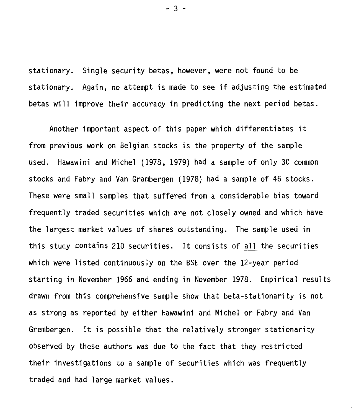stationary. Single security betas, however, were not found to be stationary. Again, no attempt is made to see if adjusting the estimated betas will improve their accuracy in predicting the next period betas.

Another important aspect of this paper which differentiates it from previous work on Belgian stocks is the property of the sample used. Hawawini and Michel (1978, 1979) had a sample of only 30 common stocks and Fabry and Van Grambergen (1978) had a sample of 46 stocks. These were small samples that suffered from a considerable bias toward frequently traded securities which are not closely owned and which have the largest market values of shares outstanding. The sample used in this study contains 210 securities. It consists of ail the securities which were listed continuously on the BSE over the 12-year period starting in November 1966 and ending in November 1978. Empirical results drawn from this comprehensive sample show that beta-stationarity is not as strong as reported by either Hawawini and Michel or Fabry and Van Grembergen. It is possible that the relatively stronger stationarity observed by these authors was due to the fact that they restricted their investigations to a sample of securities which was frequently traded and had large market values.

- 3 -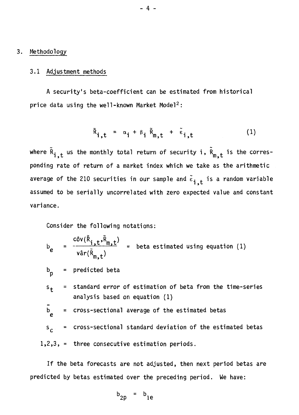#### 3. Methodology

#### 3.1 Adjustment methods

A security's beta-coefficient can be estimated from historical price data using the well-known Market Model<sup>2</sup>:

$$
\tilde{R}_{i,t} = \alpha_i + \beta_i \tilde{R}_{m,t} + \tilde{\epsilon}_{i,t} \qquad (1)
$$

where  $\tilde{R}_{i,t}$  us the monthly total return of security i,  $\tilde{R}_{m,t}$  is the corresponding rate of return of a market index which we take as the arithmetic average of the 210 securities in our sample and  $\tilde{\epsilon}_{i,t}$  is a random variable assumed to be serially uncorrelated with zero expected value and constant variance.

Consider the following notations:

$$
b_e = \frac{c \delta v(\tilde{R}_{i,t}, \tilde{R}_{m,t})}{v \hat{a} r(\tilde{R}_{m,t})} = \text{beta estimated using equation (1)}
$$

= predicted beta  $p_p$ 

 $t =$  standard error of estimation of beta from the time-series analysis based on equation (1)  $s_{\pm}$ 

$$
b_e
$$
 = cross-sectional average of the estimated betas

cross-sectional standard deviation of the estimated betas =  $s_{\mathcal{C}^+}$ 

1,2,3, = three consecutive estimation periods.

If the beta forecasts are not adjusted, then next period betas are predicted by betas estimated over the preceding period. We have:

$$
b_{2p} = b_{1e}
$$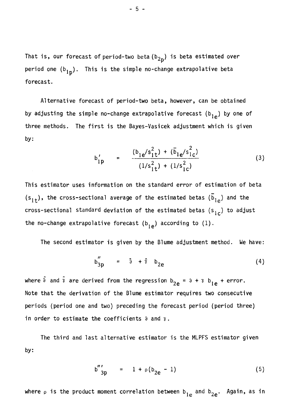That is, our forecast of period-two beta(b<sub>2p</sub>) is beta estimated over period one  $(b_{1p})$ . This is the simple no-change extrapolative beta forecast.

Alternative forecast of period-two beta, however, can be obtained by adjusting the simple no-change extrapolative forecast ( $b_{1e}$ ) by one of three methods. The first is the Bayes-Vasicek adjustment which is given by:

$$
b'_{1p} = \frac{(b_{1e}/s_{1t}^{2}) + (\bar{b}_{1e}/s_{1c}^{2})}{(1/s_{1t}^{2}) + (1/s_{1c}^{2})}
$$
(3)

This estimator uses information on the standard error of estimation of beta  $(s_{1t})$ , the cross-sectional average of the estimated betas  $(\bar{b}_{1e})$  and the cross-sectional standard deviation of the estimated betas  $(s_{1c})$  to adjust the no-change extrapolative forecast  $(b_{1e})$  according to  $(1)$ .

The second estimator is given by the Blume adjustment method. We have:

$$
b_{3p}'' = \hat{a} + \hat{i} b_{2e}
$$
 (4)

where  $\hat{\delta}$  and  $\hat{\gamma}$  are derived from the regression  $b_{2e} = \partial + \gamma b_{1e} +$  error. Note that the derivation of the Blume estimator requires two consecutive periods (period one and two) preceding the forecast period (period three) in order to estimate the coefficients  $\partial$  and  $\gamma$ .

by: The third and last alternative estimator is the MLPFS estimator given

$$
b'''_{3p} = 1 + \rho (b_{2e} - 1) \tag{5}
$$

where  $\rho$  is the product moment correlation between b<sub>le</sub> and b<sub>2e</sub>. Again, as in

- 5 -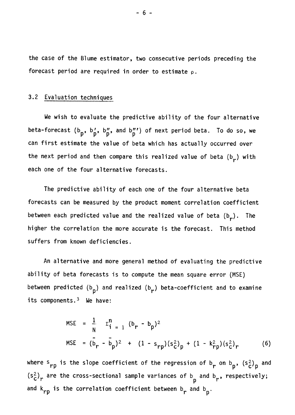the case of the Blume estimator, two consecutive periods preceding the forecast period are required in order to estimate  $\rho$ .

#### 3.2 Evaluation techniques

We wish to evaluate the predictive ability of the four alternative beta-forecast  $(b_p, b'_p, b''_p,$  and  $b'''_p$ ) of next period beta. To do so, we can first estimate the value of beta which has actually occurred over the next period and then compare this realized value of beta  $(b_r)$  with each one of the four alternative forecasts.

The predictive ability of each one of the four alternative beta forecasts can be measured by the product moment correlation coefficient between each predicted value and the realized value of beta  $(b_r)$ . The higher the correlation the more accurate is the forecast. This method suffers from known deficiencies.

An alternative and more general method of evaluating the predictive ability of beta forecasts is to compute the mean square error (MSE) between predicted (b<sub>p</sub>) and realized (b<sub>r</sub>) beta-coefficient and to examine its components. $3$  We have:

MSE = 
$$
\frac{1}{N}
$$
  $\Sigma_{i=1}^{n}$   $(b_{r} - b_{p})^{2}$   
\nMSE =  $(\overline{b}_{r} - \overline{b}_{p})^{2}$  +  $(1 - s_{rp})(s_{c}^{2})_{p}$  +  $(1 - k_{rp}^{2})(s_{c}^{2})_{r}$  (6)

where  $s_{rp}$  is the slope coefficient of the regression of  $b_r$  on  $b_p$ ,  $(s_c^2)_p$  and  $(s_c^2)_r$  are the cross-sectional sample variances of b and b<sub>r</sub>, respectively; and k<sub>rp</sub> is the correlation coefficient between b<sub>r</sub> and b<sub>p</sub>.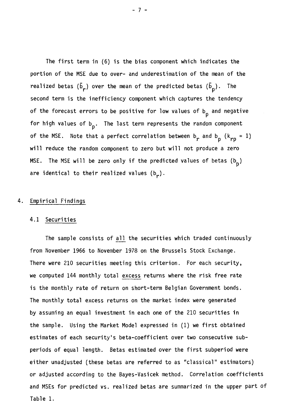The first term in (6) is the bias component which indicates the portion of the MSE due to over- and underestimation of the mean of the realized betas ( $\bar{\text{b}}_{\text{r}}$ ) over the mean of the predicted betas ( $\text{b}_{\text{p}}$ ). The second term is the inefficiency component which captures the tendency of the forecast errors to be positive for low values of  $b_p$  and negative for high values of b P . The last term represents the random component of the MSE. Note that a perfect correlation between b<sub>r</sub> and b<sub>p</sub> (k<sub>rp</sub> = 1) will reduce the random component to zero but will not produce a zero MSE. The MSE will be zero only if the predicted values of betas  $(b_p)$ are identical to their realized values (b<sub>r</sub>).

#### 4. Empirical Findings

#### 4.1 Securities

The sample consists of ail the securities which traded continuously from November 1966 to November 1978 on the Brussels Stock Exchange. There were 210 securities meeting this criterion. For each security, we computed 144 monthly total excess returns where the risk free rate is the monthly rate of return on short-term Belgian Government bonds. The monthly total excess returns on the market index were generated by assuming an equal investment in each one of the 210 securities in the sample. Using the Market Model expressed in (1) we first obtained estimates of each security's beta-coefficient over two consecutive subperiods of equal length. Betas estimated over the first subperiod were either unadjusted (these betas are referred to as "classical" estimators) or adjusted according to the Bayes-Vasicek method. Correlation coefficients and MSEs for predicted vs. realized betas are summarized in the upper part of Table 1.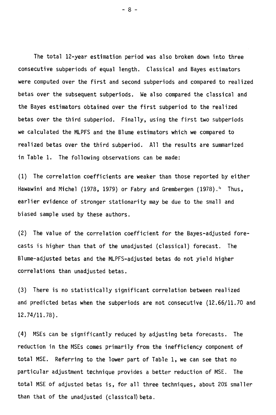The total 12-year estimation period was also broken down into three consecutive subperiods of equal length. Classical and Bayes estimators were computed over the first and second subperiods and compared to realized betas over the subsequent subperiods. We also compared the classical and the Bayes estimators obtained over the first subperiod to the realized betas over the third subperiod. Finally, using the first two subperiods we calculated the MLPFS and the Blume estimators which we compared to realized betas over the third subperiod. All the results are summarized in Table 1. The following observations can be made:

(1) The correlation coefficients are weaker than those reported by either Hawawini and Michel (1978, 1979) or Fabry and Grembergen (1978). $4$  Thus, earlier evidence of stronger stationarity may be due to the small and biased sample used by these authors.

(2) The value of the correlation coefficient for the Bayes-adjusted forecasts is higher than that of the unadjusted (classical) forecast. The Blume-adjusted betas and the MLPFS-adjusted betas do not yield higher correlations than unadjusted betas.

(3) There is no statistically significant correlation between realized and predicted betas when the subperiods are not consecutive (12.66/11.70 and 12.74/11.78).

(4) MSEs can be significantly reduced by adjusting beta forecasts. The reduction in the MSEs comes primarily from the inefficiency component of total MSE. Referring to the lower part of Table 1, we can see that no particular adjustment technique provides a better reduction of MSE. The total MSE of adjusted betas is, for all three techniques, about 20% smaller than that of the unadjusted (classical) beta.

- 8 -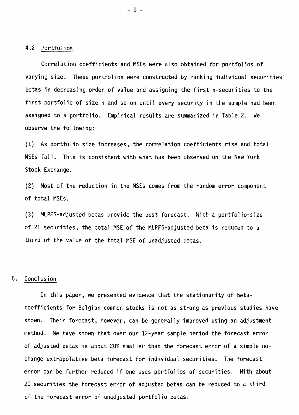#### 4.2 Portfolios

Correlation coefficients and MSEs were also obtained for portfolios of varying size. These portfolios were constructed by ranking individual securities' betas in decreasing order of value and assigning the first n-securities to the first portfolio of size n and so on until every security in the sample had been assigned to a portfolio. Empirical results are summarized in Table 2. We observe the following:

(1) As portfolio size increases, the correlation coefficients rise and total MSEs fall. This is consistent with what has been observed on the New York Stock Exchange.

(2) Most of the reduction in the MSEs comes from the random error component of total MSEs.

(3) MLPFS-adjusted betas provide the best forecast. With a portfolio-size of 21 securities, the total MSE of the MLPFS-adjusted beta is reduced to a third of the value of the total MSE of unadjusted betas.

#### 5. Conclusion

In this paper, we presented evidence that the stationarity of betacoefficients for Belgian common stocks is not as strong as previous studies have shown. Their forecast, however, can be generally improved using an adjustment method. We have shown that over our 12-year sample period the forecast error of adjusted betas is about 20% smaller than the forecast error of a simple nochange extrapolative beta forecast for individual securities. The forecast error can be further reduced if one uses portfolios of securities. With about 20 securities the forecast error of adjusted betas can be reduced to a third of the forecast error of unadjusted portfolio betas.

-9-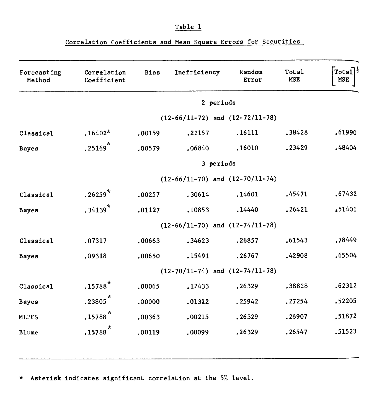### **Table 1**

# **Correlation Coefficients and Mean Square Errors for Securities**

| Forecasting<br>Method | Correlation<br>Coefficient          | <b>Bias</b>                         | Inefficiency                        | Random<br>Error | Total<br><b>MSE</b> | Total<br><b>MSE</b> |  |  |  |  |
|-----------------------|-------------------------------------|-------------------------------------|-------------------------------------|-----------------|---------------------|---------------------|--|--|--|--|
|                       | 2 periods                           |                                     |                                     |                 |                     |                     |  |  |  |  |
|                       |                                     | $(12-66/11-72)$ and $(12-72/11-78)$ |                                     |                 |                     |                     |  |  |  |  |
| Classical             | $.16402*$                           | .00159                              | .22157                              | .16111          | .38428              | .61990              |  |  |  |  |
| <b>Bayes</b>          | $\star$<br>.25169                   | .00579                              | .06840                              | .16010          | .23429              | .48404              |  |  |  |  |
|                       | 3 periods                           |                                     |                                     |                 |                     |                     |  |  |  |  |
|                       | $(12-66/11-70)$ and $(12-70/11-74)$ |                                     |                                     |                 |                     |                     |  |  |  |  |
| Classical             | $.26259*$                           | .00257                              | .30614                              | .14601          | .45471              | .67432              |  |  |  |  |
| <b>Bayes</b>          | $.34139*$                           | .01127                              | .10853                              | .14440          | .26421              | ∡51401              |  |  |  |  |
|                       |                                     |                                     | $(12-66/11-70)$ and $(12-74/11-78)$ |                 |                     |                     |  |  |  |  |
| Classical             | .07317                              | .00663                              | .34623                              | .26857          | .61543              | .78449              |  |  |  |  |
| <b>Bayes</b>          | .09318                              | .00650                              | .15491                              | .26767          | .42908              | .65504              |  |  |  |  |
|                       | $(12-70/11-74)$ and $(12-74/11-78)$ |                                     |                                     |                 |                     |                     |  |  |  |  |
| Classical             | $.15788*$                           | .00065                              | .12433                              | .26329          | .38828              | .62312              |  |  |  |  |
| <b>Bayes</b>          | $.23805$ <sup>*</sup>               | .00000                              | .01312                              | .25942          | .27254              | .52205              |  |  |  |  |
| <b>MLPFS</b>          | $.15788$ <sup>*</sup>               | .00363                              | .00215                              | .26329          | .26907              | .51872              |  |  |  |  |
| <b>Blume</b>          | $\star$<br>.15788                   | .00119                              | .00099                              | .26329          | .26547              | .51523              |  |  |  |  |

**\* Asterisk indicates significant correlation at the 5% level.**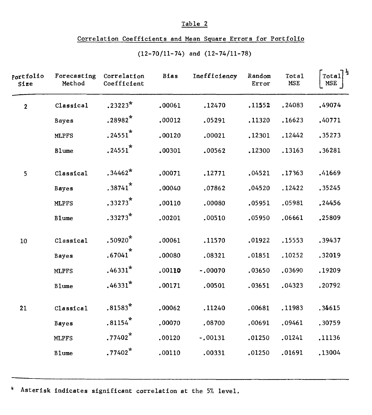#### Table 2

### Correlation Coefficients and Mean Square Errors for Portfolio

| Portfolio<br>Size | Forecasting<br>Method | Correlation<br>Coefficient | <b>Bias</b> | Inefficiency | Random<br>Error | <b>Total</b><br>MSE | Total $^{\frac{1}{2}}$<br>MSE |
|-------------------|-----------------------|----------------------------|-------------|--------------|-----------------|---------------------|-------------------------------|
| $\mathbf{2}$      | Classical             | $.23223*$                  | .00061      | .12470       | .11552          | .24083              | .49074                        |
|                   | <b>Bayes</b>          | $.28982*$                  | .00012      | .05291       | .11320          | .16623              | .40771                        |
|                   | <b>MLPFS</b>          | $.24551$ *                 | .00120      | .00021       | .12301          | .12442              | .35273                        |
|                   | <b>Blume</b>          | $.24551$ <sup>*</sup>      | .00301      | .00562       | .12300          | .13163              | .36281                        |
| 5                 | Classical             | $.34462*$                  | .00071      | .12771       | .04521          | .17363              | .41669                        |
|                   | <b>Bayes</b>          | $.38741$ *                 | .00040      | .07862       | .04520          | .12422              | .35245                        |
|                   | <b>MLPFS</b>          | $.33273*$                  | .00110      | .00080       | .05951          | .05981              | .24456                        |
|                   | <b>Blume</b>          | $.33273*$                  | .00201      | .00510       | .05950          | .06661              | .25809                        |
| 10                | Classical             | $.50920*$                  | .00061      | .11570       | .01922          | .15553              | .39437                        |
|                   | Bayes                 | $.67041$ <sup>*</sup>      | .00080      | .08321       | .01851          | .10252              | .32019                        |
|                   | <b>MLPFS</b>          | $.46331*$                  | .00110      | $-.00070$    | .03650          | .03690              | .19209                        |
|                   | <b>Blume</b>          | $.46331*$                  | .00171      | .00501       | .03651          | .04323              | .20792                        |
| 21                | Classical             | $.81583*$                  | .00062      | .11240       | .00681          | .11983              | .34615                        |
|                   | Bayes                 | $.81154$ <sup>*</sup>      | .00070      | .08700       | .00691          | .09461              | .30759                        |
|                   | <b>MLPFS</b>          | $.77402*$                  | .00120      | $-.00131$    | .01250          | .01241              | .11136                        |
|                   | <b>Blume</b>          | $.77402*$                  | .00110      | .00331       | .01250          | .01691              | .13004                        |

(12-70/11-74) and (12-74/11-78)

Asterisk indicates significant correlation at the 5% level.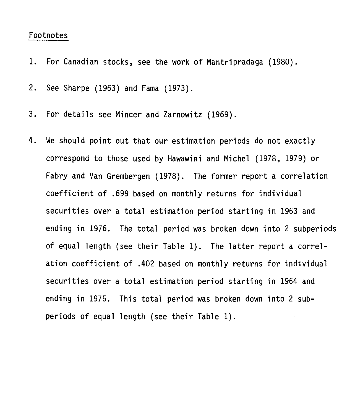### Footnotes

- 1. For Canadian stocks, see the work of Mantripradaga (1980).
- 2. See Sharpe (1963) and Fama (1973).
- 3. For details see Mincer and Zarnowitz (1969).
- 4. We should point out that our estimation periods do not exactly correspond to those used by Hawawini and Michel (1978, 1979) or Fabry and Van Grembergen (1978). The former report a correlation coefficient of .699 based on monthly returns for individual securities over a total estimation period starting in 1963 and ending in 1976. The total period was broken down into 2 subperiods of equal length (see their Table 1). The latter report a correlation coefficient of .402 based on monthly returns for individual securities over a total estimation period starting in 1964 and ending in 1975. This total period was broken down into 2 subperiods of equal length (see their Table 1).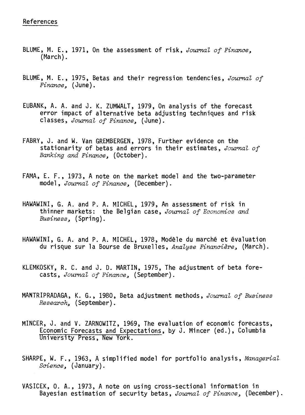- BLUME, M. E., 1971, On the assessment of risk, Journal of Finance, (March).
- BLUME, M. E., 1975, Betas and their regression tendencies, Journal of Finance, (June).
- EUBANK, A. A. and J. K. ZUMWALT, 1979, On analysis of the forecast error impact of alternative beta adjusting techniques and risk classes, Journal of Finance, (June).
- FABRY, J. and W. Van GREMBERGEN, 1978, Further evidence on the stationarity of betas and errors in their estimates, Journal of Banking and Finance, (October).
- FAMA, E. F., 1973, A note on the market model and the two-parameter model, Journal of Finance, (December).
- HAWAWINI, G. A. and P. A. MICHEL, 1979, An assessment of risk in thinner markets: the Belgian case, Journal of Economics and Business, (Spring).
- HAWAWINI, G. A. and P. A. MICHEL, 1978, Modèle du marché et évaluation du risque sur la Bourse de Bruxelles, Analyse Financière. (March).
- KLEMKOSKY, R. C. and J. D. MARTIN, 1975, The adjustment of beta forecasts, Journal of Finance, (September).
- MANTRIPRADAGA, K. G., 1980, Beta adjustment methods, Journal of Business Research, (September).
- MINCER, J. and V. ZARNOWITZ, 1969, The evaluation of economic forecasts, Economic Forecasts and Expectations, by J. Mincer (ed.), Columbia University Press, New York.
- SHARPE, W. F., 1963, A simplified model for portfolio analysis, Managerial Science, (January).
- VASICEK, O. A., 1973, A note on using cross-sectional information in Bayesian estimation of security betas, Journal of Finance, (December).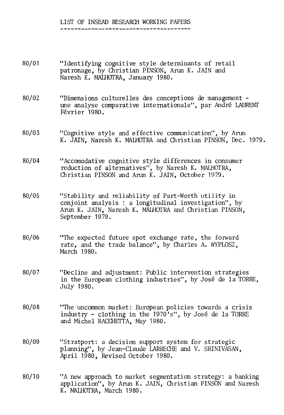## LIST OF INSEAD RESEARCH WORKING PAPERS

#### 80/01 "Identifying cognitive style determinants of retail patronage, by Christian PINSON, Arun K. JAIN and Naresh K. MALHOTRA, January 1980.

- 80/02 "Dimensions culturelles des conceptions de management une analyse comparative internationale", par André LAURENT Février 1980.
- 80/03 "Cognitive style and effective communication", by Arun K. JAIN, Naresh K. MALHOTRA and Christian PINSON, Dec. 1979.
- 80/04 "Accomodative cognitive style differences in consumer reduction of alternatives", by Naresh K. MALHOTRA, Christian PINSON and Arun K. JAIN, October 1979.
- 80/05 "Stability and reliability of Part-Worth utility in conjoint analysis : a longitudinal investigation", by Arun K. JAIN, Naresh K. MALHOTRA and Christian PINSON, September 1979.
- 80/06 "The expected future spot exchange rate, the forward rate, and the trade balance", by Charles A. WYPLOSZ, March 1980.
- 80/07 "Décline and adjustment: Public intervention strategies in the European clothing industries", by José de la TORRE, July 1980.
- 80/08 "The uncommon market: European policies towards a crisis industry - clothing in the 1970's", by José de la TORRE and Michel BACCHETTA, May 1980.
- 80/09 "Stratport: a decision support system for strategic planning", by Jean-Claude LARRECHE and V. SRINIVASAN, April 1980, Revised October 1980.
- 80/10 "A new approach to market segmentation strategy: a banking application", by Arun K. JAIN, Christian PINSON and Naresh K. MALHOTRA, March 1980.